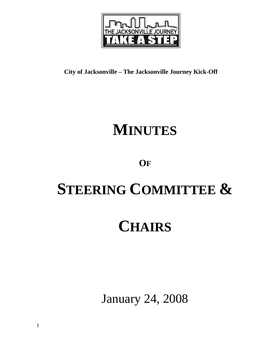

**City of Jacksonville – The Jacksonville Journey Kick-Off**

## **MINUTES**

### **OF**

# **STEERING COMMITTEE &**

## **CHAIRS**

January 24, 2008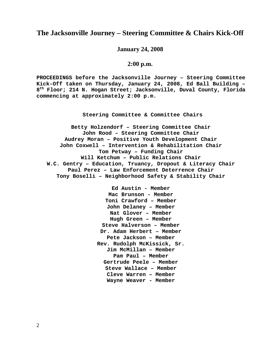### **The Jacksonville Journey – Steering Committee & Chairs Kick-Off**

**January 24, 2008** 

#### **2:00 p.m.**

**PROCEEDINGS before the Jacksonville Journey – Steering Committee Kick-Off taken on Thursday, January 24, 2008, Ed Ball Building – 8th Floor; 214 N. Hogan Street; Jacksonville, Duval County, Florida commencing at approximately 2:00 p.m.** 

**Steering Committee & Committee Chairs**

**Betty Holzendorf – Steering Committee Chair John Rood – Steering Committee Chair Audrey Moran – Positive Youth Development Chair John Coxwell – Intervention & Rehabilitation Chair Tom Petway – Funding Chair Will Ketchum – Public Relations Chair W.C. Gentry – Education, Truancy, Dropout & Literacy Chair Paul Perez – Law Enforcement Deterrence Chair Tony Boselli – Neighborhood Safety & Stability Chair** 

> **Ed Austin - Member Mac Brunson - Member Toni Crawford – Member John Delaney – Member Nat Glover – Member Hugh Green – Member Steve Halverson – Member Dr. Adam Herbert – Member Pete Jackson – Member Rev. Rudolph McKissick, Sr. Jim McMillan – Member Pam Paul – Member Gertrude Peele – Member Steve Wallace – Member Cleve Warren – Member Wayne Weaver - Member**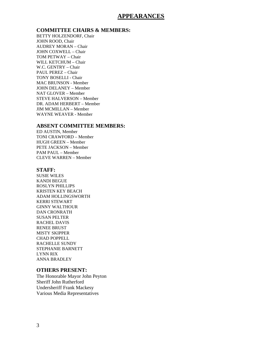### **APPEARANCES**

### **COMMITTEE CHAIRS & MEMBERS:** BETTY HOLZENDORF, Chair

JOHN ROOD, Chair AUDREY MORAN – Chair JOHN COXWELL – Chair TOM PETWAY – Chair WILL KETCHUM – Chair W.C. GENTRY – Chair PAUL PEREZ – Chair TONY BOSELLI - Chair MAC BRUNSON - Member JOHN DELANEY – Member NAT GLOVER – Member STEVE HALVERSON – Member DR. ADAM HERBERT – Member JIM MCMILLAN – Member WAYNE WEAVER - Member

### **ABSENT COMMITTEE MEMBERS:** ED AUSTIN, Member

TONI CRAWFORD – Member HUGH GREEN – Member PETE JACKSON – Member PAM PAUL – Member CLEVE WARREN – Member

#### **STAFF:**

SUSIE WILES KANDI BEGUE ROSLYN PHILLIPS KRISTEN KEY BEACH ADAM HOLLINGSWORTH KERRI STEWART GINNY WALTHOUR DAN CRONRATH SUSAN PELTER RACHEL DAVIS RENEE BRUST MISTY SKIPPER CHAD POPPELL RACHELLE SUNDY STEPHANIE BARNETT LYNN RIX ANNA BRADLEY

#### **OTHERS PRESENT:**

The Honorable Mayor John Peyton Sheriff John Rutherford Undersheriff Frank Mackesy Various Media Representatives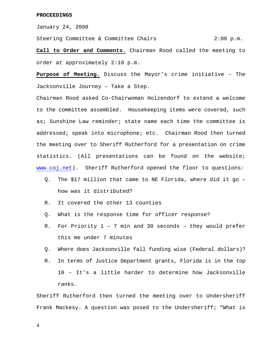January 24, 2008

Steering Committee & Committee Chairs 2:00 p.m.

**Call to Order and Comments.** Chairman Rood called the meeting to order at approximately 2:10 p.m.

**Purpose of Meeting.** Discuss the Mayor's crime initiative – The Jacksonville Journey – Take a Step.

Chairman Rood asked Co-Chairwoman Holzendorf to extend a welcome to the committee assembled. Housekeeping items were covered, such as; Sunshine Law reminder; state name each time the committee is addressed; speak into microphone; etc. Chairman Rood then turned the meeting over to Sheriff Rutherford for a presentation on crime statistics. (All presentations can be found on the website; [www.coj.net](http://www.coj.net/)). Sheriff Rutherford opened the floor to questions:

- Q. The \$17 million that came to NE Florida, where did it go how was it distributed?
- R. It covered the other 13 counties
- Q. What is the response time for officer response?
- R. For Priority 1 7 min and 30 seconds they would prefer this me under 7 minutes
- Q. Where does Jacksonville fall funding wise (Federal dollars)?
- R. In terms of Justice Department grants, Florida is in the top 10 – It's a little harder to determine how Jacksonville ranks.

Sheriff Rutherford then turned the meeting over to Undersheriff Frank Mackesy. A question was posed to the Undersheriff; "What is

4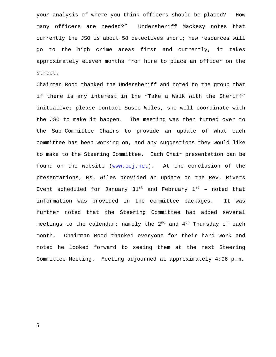your analysis of where you think officers should be placed? – How many officers are needed?" Undersheriff Mackesy notes that currently the JSO is about 58 detectives short; new resources will go to the high crime areas first and currently, it takes approximately eleven months from hire to place an officer on the street.

Chairman Rood thanked the Undersheriff and noted to the group that if there is any interest in the "Take a Walk with the Sheriff" initiative; please contact Susie Wiles, she will coordinate with the JSO to make it happen. The meeting was then turned over to the Sub-Committee Chairs to provide an update of what each committee has been working on, and any suggestions they would like to make to the Steering Committee. Each Chair presentation can be found on the website [\(www.coj.net](http://www.coj.net/)). At the conclusion of the presentations, Ms. Wiles provided an update on the Rev. Rivers Event scheduled for January  $31^{st}$  and February  $1^{st}$  – noted that information was provided in the committee packages. It was further noted that the Steering Committee had added several meetings to the calendar; namely the  $2^{nd}$  and  $4^{th}$  Thursday of each month. Chairman Rood thanked everyone for their hard work and noted he looked forward to seeing them at the next Steering Committee Meeting. Meeting adjourned at approximately 4:06 p.m.

5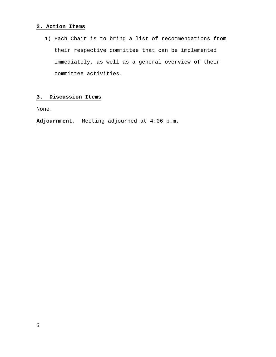### **2. Action Items**

1) Each Chair is to bring a list of recommendations from their respective committee that can be implemented immediately, as well as a general overview of their committee activities.

### **3. Discussion Items**

None.

**Adjournment**. Meeting adjourned at 4:06 p.m.